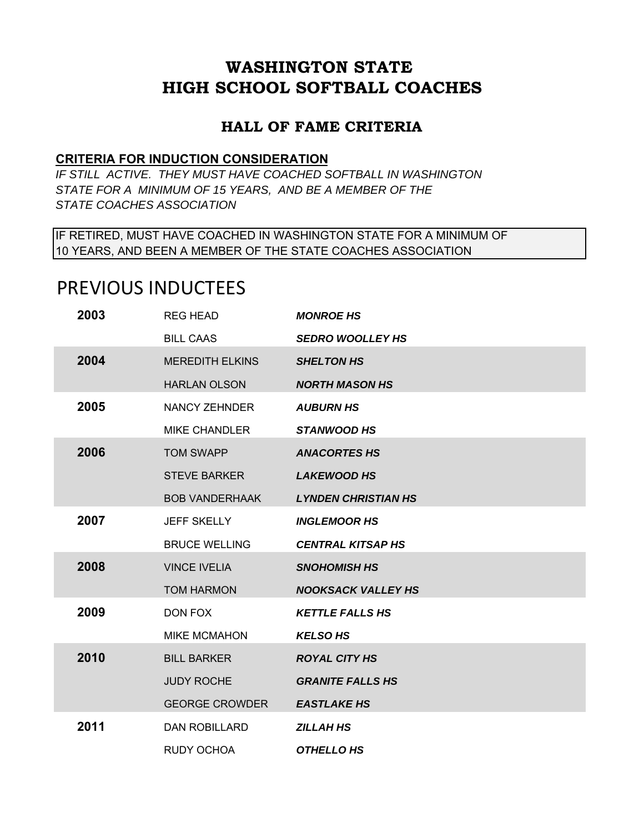## **WASHINGTON STATE HIGH SCHOOL SOFTBALL COACHES**

## **HALL OF FAME CRITERIA**

## **CRITERIA FOR INDUCTION CONSIDERATION**

*IF STILL ACTIVE. THEY MUST HAVE COACHED SOFTBALL IN WASHINGTON STATE FOR A MINIMUM OF 15 YEARS, AND BE A MEMBER OF THE STATE COACHES ASSOCIATION*

IF RETIRED, MUST HAVE COACHED IN WASHINGTON STATE FOR A MINIMUM OF 10 YEARS, AND BEEN A MEMBER OF THE STATE COACHES ASSOCIATION

## PREVIOUS INDUCTEES

| 2003 | <b>REG HEAD</b>        | <b>MONROE HS</b>           |
|------|------------------------|----------------------------|
|      | <b>BILL CAAS</b>       | <b>SEDRO WOOLLEY HS</b>    |
| 2004 | <b>MEREDITH ELKINS</b> | <b>SHELTON HS</b>          |
|      | <b>HARLAN OLSON</b>    | <b>NORTH MASON HS</b>      |
| 2005 | <b>NANCY ZEHNDER</b>   | <b>AUBURN HS</b>           |
|      | <b>MIKE CHANDLER</b>   | <b>STANWOOD HS</b>         |
| 2006 | <b>TOM SWAPP</b>       | <b>ANACORTES HS</b>        |
|      | <b>STEVE BARKER</b>    | <b>LAKEWOOD HS</b>         |
|      | <b>BOB VANDERHAAK</b>  | <b>LYNDEN CHRISTIAN HS</b> |
| 2007 | <b>JEFF SKELLY</b>     | <b>INGLEMOOR HS</b>        |
|      | <b>BRUCE WELLING</b>   | <b>CENTRAL KITSAP HS</b>   |
| 2008 | <b>VINCE IVELIA</b>    | <b>SNOHOMISH HS</b>        |
|      | <b>TOM HARMON</b>      | <b>NOOKSACK VALLEY HS</b>  |
| 2009 | DON FOX                | <b>KETTLE FALLS HS</b>     |
|      | <b>MIKE MCMAHON</b>    | <b>KELSO HS</b>            |
| 2010 | <b>BILL BARKER</b>     | <b>ROYAL CITY HS</b>       |
|      | <b>JUDY ROCHE</b>      | <b>GRANITE FALLS HS</b>    |
|      | <b>GEORGE CROWDER</b>  | <b>EASTLAKE HS</b>         |
| 2011 | <b>DAN ROBILLARD</b>   | <b>ZILLAH HS</b>           |
|      | <b>RUDY OCHOA</b>      | <b>OTHELLO HS</b>          |